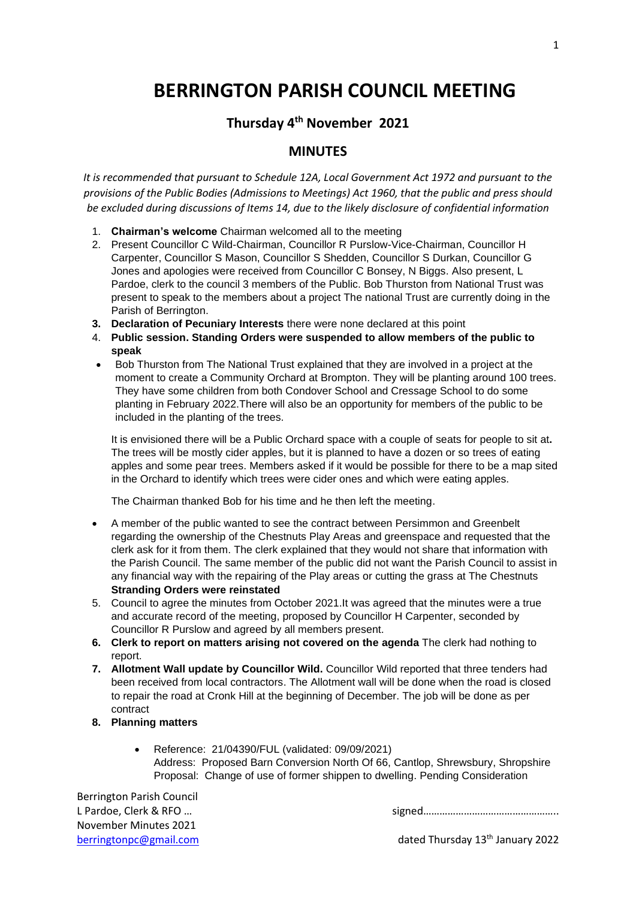# **BERRINGTON PARISH COUNCIL MEETING**

## **Thursday 4 th November 2021**

### **MINUTES**

*It is recommended that pursuant to Schedule 12A, Local Government Act 1972 and pursuant to the provisions of the Public Bodies (Admissions to Meetings) Act 1960, that the public and press should be excluded during discussions of Items 14, due to the likely disclosure of confidential information*

- 1. **Chairman's welcome** Chairman welcomed all to the meeting
- 2. Present Councillor C Wild-Chairman, Councillor R Purslow-Vice-Chairman, Councillor H Carpenter, Councillor S Mason, Councillor S Shedden, Councillor S Durkan, Councillor G Jones and apologies were received from Councillor C Bonsey, N Biggs. Also present, L Pardoe, clerk to the council 3 members of the Public. Bob Thurston from National Trust was present to speak to the members about a project The national Trust are currently doing in the Parish of Berrington.
- **3. Declaration of Pecuniary Interests** there were none declared at this point
- 4. **Public session. Standing Orders were suspended to allow members of the public to speak**
- Bob Thurston from The National Trust explained that they are involved in a project at the moment to create a Community Orchard at Brompton. They will be planting around 100 trees. They have some children from both Condover School and Cressage School to do some planting in February 2022.There will also be an opportunity for members of the public to be included in the planting of the trees.

It is envisioned there will be a Public Orchard space with a couple of seats for people to sit at**.** The trees will be mostly cider apples, but it is planned to have a dozen or so trees of eating apples and some pear trees. Members asked if it would be possible for there to be a map sited in the Orchard to identify which trees were cider ones and which were eating apples.

The Chairman thanked Bob for his time and he then left the meeting.

- A member of the public wanted to see the contract between Persimmon and Greenbelt regarding the ownership of the Chestnuts Play Areas and greenspace and requested that the clerk ask for it from them. The clerk explained that they would not share that information with the Parish Council. The same member of the public did not want the Parish Council to assist in any financial way with the repairing of the Play areas or cutting the grass at The Chestnuts **Stranding Orders were reinstated**
- 5. Council to agree the minutes from October 2021.It was agreed that the minutes were a true and accurate record of the meeting, proposed by Councillor H Carpenter, seconded by Councillor R Purslow and agreed by all members present.
- **6. Clerk to report on matters arising not covered on the agenda** The clerk had nothing to report.
- **7. Allotment Wall update by Councillor Wild.** Councillor Wild reported that three tenders had been received from local contractors. The Allotment wall will be done when the road is closed to repair the road at Cronk Hill at the beginning of December. The job will be done as per contract
- **8. Planning matters**
	- Reference: 21/04390/FUL (validated: 09/09/2021) Address: Proposed Barn Conversion North Of 66, Cantlop, Shrewsbury, Shropshire Proposal: Change of use of former shippen to dwelling. Pending Consideration

Berrington Parish Council November Minutes 2021

L Pardoe, Clerk & RFO ...

[berringtonpc@gmail.com](mailto:berringtonpc@gmail.com) dated Thursday 13<sup>th</sup> January 2022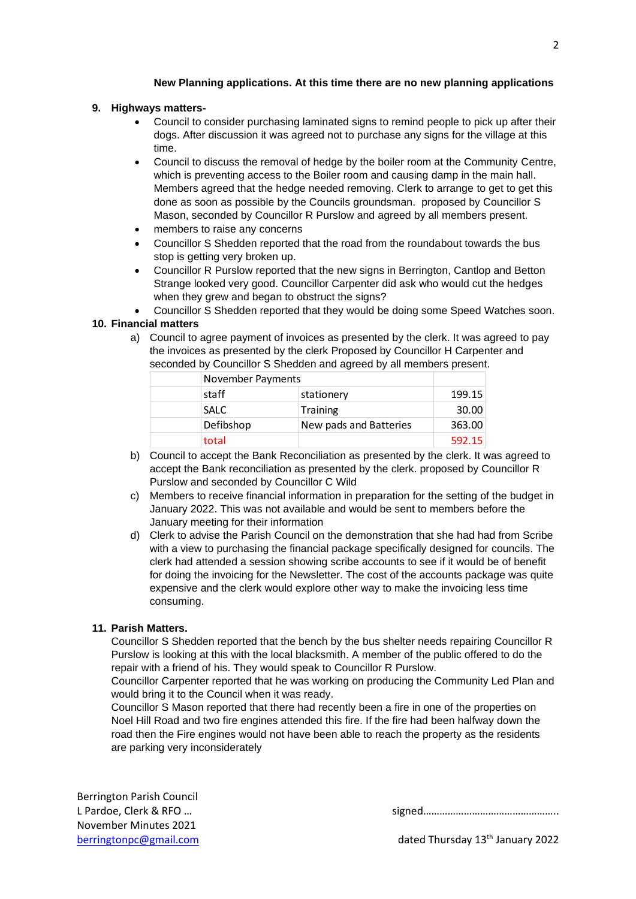#### **New Planning applications. At this time there are no new planning applications**

#### **9. Highways matters-**

- Council to consider purchasing laminated signs to remind people to pick up after their dogs. After discussion it was agreed not to purchase any signs for the village at this time.
- Council to discuss the removal of hedge by the boiler room at the Community Centre, which is preventing access to the Boiler room and causing damp in the main hall. Members agreed that the hedge needed removing. Clerk to arrange to get to get this done as soon as possible by the Councils groundsman. proposed by Councillor S Mason, seconded by Councillor R Purslow and agreed by all members present.
- members to raise any concerns
- Councillor S Shedden reported that the road from the roundabout towards the bus stop is getting very broken up.
- Councillor R Purslow reported that the new signs in Berrington, Cantlop and Betton Strange looked very good. Councillor Carpenter did ask who would cut the hedges when they grew and began to obstruct the signs?
- Councillor S Shedden reported that they would be doing some Speed Watches soon.

#### **10. Financial matters**

a) Council to agree payment of invoices as presented by the clerk. It was agreed to pay the invoices as presented by the clerk Proposed by Councillor H Carpenter and seconded by Councillor S Shedden and agreed by all members present.

| November Payments |                        |        |
|-------------------|------------------------|--------|
| staff             | stationery             | 199.15 |
| <b>SALC</b>       | <b>Training</b>        | 30.00  |
| Defibshop         | New pads and Batteries | 363.00 |
| total             |                        | 592.15 |

- b) Council to accept the Bank Reconciliation as presented by the clerk. It was agreed to accept the Bank reconciliation as presented by the clerk. proposed by Councillor R Purslow and seconded by Councillor C Wild
- c) Members to receive financial information in preparation for the setting of the budget in January 2022. This was not available and would be sent to members before the January meeting for their information
- d) Clerk to advise the Parish Council on the demonstration that she had had from Scribe with a view to purchasing the financial package specifically designed for councils. The clerk had attended a session showing scribe accounts to see if it would be of benefit for doing the invoicing for the Newsletter. The cost of the accounts package was quite expensive and the clerk would explore other way to make the invoicing less time consuming.

#### **11. Parish Matters.**

Councillor S Shedden reported that the bench by the bus shelter needs repairing Councillor R Purslow is looking at this with the local blacksmith. A member of the public offered to do the repair with a friend of his. They would speak to Councillor R Purslow.

Councillor Carpenter reported that he was working on producing the Community Led Plan and would bring it to the Council when it was ready.

Councillor S Mason reported that there had recently been a fire in one of the properties on Noel Hill Road and two fire engines attended this fire. If the fire had been halfway down the road then the Fire engines would not have been able to reach the property as the residents are parking very inconsiderately

|--|--|

[berringtonpc@gmail.com](mailto:berringtonpc@gmail.com) dated Thursday 13<sup>th</sup> January 2022